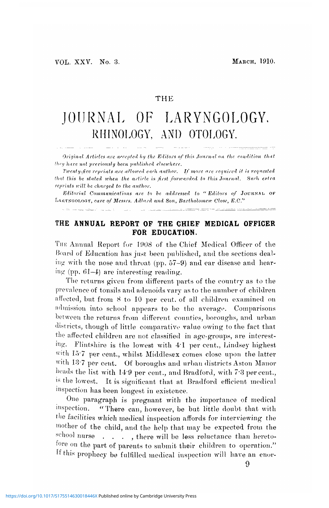## **THE**

## JOURNAL OF LARYNGOLOGY. **RHINOLOGY, AND OTOLOGY.**

*Original Articles are accepted by the Editors of this Journal na the condition that they hiive not previously been published elsewhere.*

*Twenty-jive reprints are allowed earli author. Tf more are required it is requested that this be stated when the, article* is *first forwarded to this Journal. Sucli ertra reprints will he charged to the author.*

*Editorial Communications are to be addressed to "Editors of* JOURNAL OF r, *care of Messrs. Adlanl and* Son, *Bartholomew Close,* B.C."

 $\mathcal{L}^{\mathcal{L}}(\mathcal{L}^{\mathcal{L}})$  . The constraints of the contract of the contract of the contract of the contract of the contract of the contract of the contract of the contract of the contract of the contract of the contra

## THE **ANNUAL REPORT OF THE CHIEF MEDICAL OFFICER FOR EDUCATION.**

THK Annual Report for 1908 of the Chief Medical Officer of the Board of Education has just been published, and the sections dealing with the nose and throat (pp. 57-9) and ear disease and hearing (pp. 61-4) are interesting reading.

The returns given from different parts of the country as to the prevalence of tonsils and adenoids vary as to the number of children affected, but from 8 to 10 per cent, of all children examined on admission into school appears to be the average. Comparisons between the returns from different counties, boroughs, and urban districts, though of little comparative value owing to the fact that *W* the affected children are not classified in age-groups, are interesting. Flintshire is the lowest with 4.1 per cent., Lindsey highest with  $15.7$  per cent., whilst Middlesex comes close upon the latter with 13.7 per cent. Of boroughs and urban districts Aston Manor heads the list with 14.9 per cent., and Bradford, with  $7.3$  per cent., is the lowest. It is significant that at Bradford efficient medical inspection has been longest in existence.

One paragraph is pregnant with the importance of medical<br>inspection. "There can however be but little doubt that with "There can, however, be but little doubt that with the facilities which medical inspection affords for interviewing the mother of the child, and the help that may be expected from the school nurse  $\ldots$ , there will be less reluctance than heretofore on the part of parents to submit their children to operation." If this prophecy be fulfilled medical inspection will have an enor